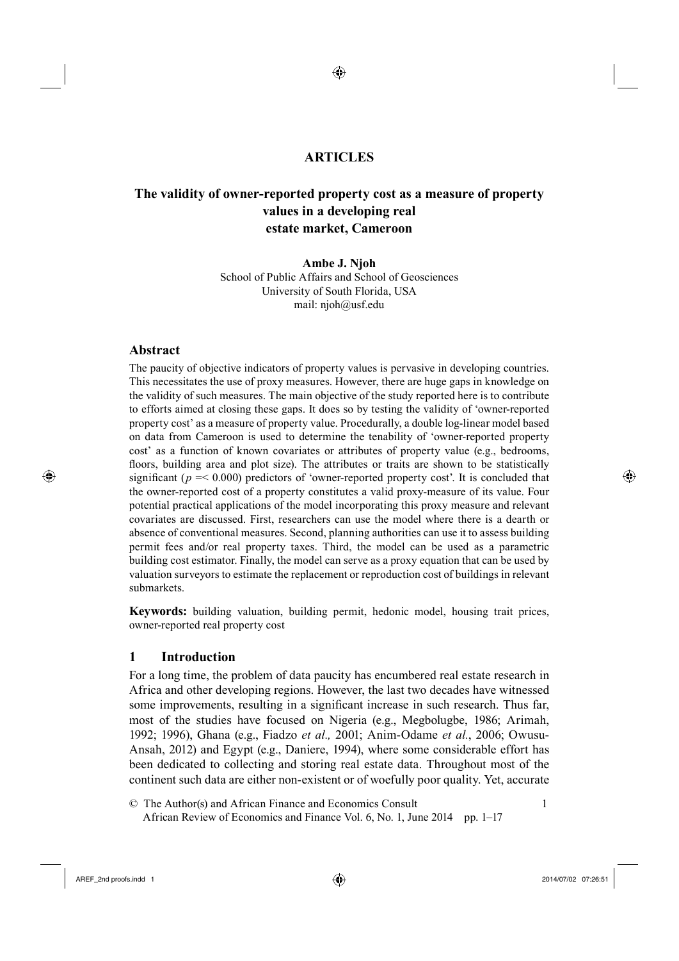# <sup>1</sup>**ARTICLES**

◈

# <sup>2</sup>**The validity of owner-reported property cost as a measure of property values in a developing real estate market, Cameroon**

**Ambe J. Njoh** School of Public Affairs and School of Geosciences University of South Florida, USA mail: njoh@usf.edu

## **Abstract**

⊕

The paucity of objective indicators of property values is pervasive in developing countries. This necessitates the use of proxy measures. However, there are huge gaps in knowledge on the validity of such measures. The main objective of the study reported here is to contribute to efforts aimed at closing these gaps. It does so by testing the validity of 'owner-reported property cost' as a measure of property value. Procedurally, a double log-linear model based on data from Cameroon is used to determine the tenability of 'owner-reported property cost' as a function of known covariates or attributes of property value (e.g., bedrooms, floors, building area and plot size). The attributes or traits are shown to be statistically significant ( $p = 0.000$ ) predictors of 'owner-reported property cost'. It is concluded that the owner-reported cost of a property constitutes a valid proxy-measure of its value. Four potential practical applications of the model incorporating this proxy measure and relevant covariates are discussed. First, researchers can use the model where there is a dearth or absence of conventional measures. Second, planning authorities can use it to assess building permit fees and/or real property taxes. Third, the model can be used as a parametric building cost estimator. Finally, the model can serve as a proxy equation that can be used by valuation surveyors to estimate the replacement or reproduction cost of buildings in relevant submarkets.

**Keywords:** building valuation, building permit, hedonic model, housing trait prices, owner-reported real property cost

# **1 Introduction**

For a long time, the problem of data paucity has encumbered real estate research in Africa and other developing regions. However, the last two decades have witnessed some improvements, resulting in a significant increase in such research. Thus far, most of the studies have focused on Nigeria (e.g., Megbolugbe, 1986; Arimah, 1992; 1996), Ghana (e.g., Fiadzo *et al.,* 2001; Anim-Odame *et al.*, 2006; Owusu-Ansah, 2012) and Egypt (e.g., Daniere, 1994), where some considerable effort has been dedicated to collecting and storing real estate data. Throughout most of the continent such data are either non-existent or of woefully poor quality. Yet, accurate

19© The Author(s) and African Finance and Economics Consult 1 African Review of Economics and Finance Vol. 6, No. 1, June 2014 pp. 1–17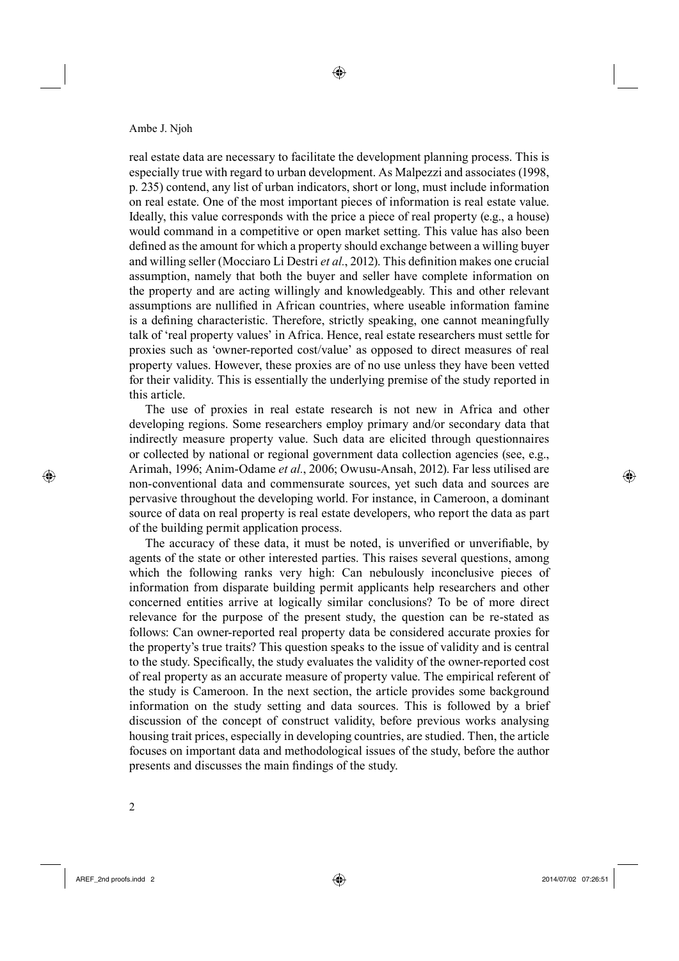real estate data are necessary to facilitate the development planning process. This is especially true with regard to urban development. As Malpezzi and associates (1998, p. 235) contend, any list of urban indicators, short or long, must include information on real estate. One of the most important pieces of information is real estate value. Ideally, this value corresponds with the price a piece of real property (e.g., a house) would command in a competitive or open market setting. This value has also been defined as the amount for which a property should exchange between a willing buyer and willing seller (Mocciaro Li Destri et al., 2012). This definition makes one crucial assumption, namely that both the buyer and seller have complete information on the property and are acting willingly and knowledgeably. This and other relevant assumptions are nullified in African countries, where useable information famine is a defining characteristic. Therefore, strictly speaking, one cannot meaningfully talk of 'real property values' in Africa. Hence, real estate researchers must settle for proxies such as 'owner-reported cost/value' as opposed to direct measures of real property values. However, these proxies are of no use unless they have been vetted for their validity. This is essentially the underlying premise of the study reported in this article.

◈

1The use of proxies in real estate research is not new in Africa and other developing regions. Some researchers employ primary and/or secondary data that indirectly measure property value. Such data are elicited through questionnaires or collected by national or regional government data collection agencies (see, e.g., Arimah, 1996; Anim-Odame *et al.*, 2006; Owusu-Ansah, 2012). Far less utilised are non-conventional data and commensurate sources, yet such data and sources are pervasive throughout the developing world. For instance, in Cameroon, a dominant source of data on real property is real estate developers, who report the data as part of the building permit application process.

The accuracy of these data, it must be noted, is unverified or unverifiable, by agents of the state or other interested parties. This raises several questions, among which the following ranks very high: Can nebulously inconclusive pieces of information from disparate building permit applicants help researchers and other concerned entities arrive at logically similar conclusions? To be of more direct relevance for the purpose of the present study, the question can be re-stated as follows: Can owner-reported real property data be considered accurate proxies for the property's true traits? This question speaks to the issue of validity and is central to the study. Specifically, the study evaluates the validity of the owner-reported cost of real property as an accurate measure of property value. The empirical referent of the study is Cameroon. In the next section, the article provides some background information on the study setting and data sources. This is followed by a brief discussion of the concept of construct validity, before previous works analysing housing trait prices, especially in developing countries, are studied. Then, the article focuses on important data and methodological issues of the study, before the author presents and discusses the main findings of the study.

⊕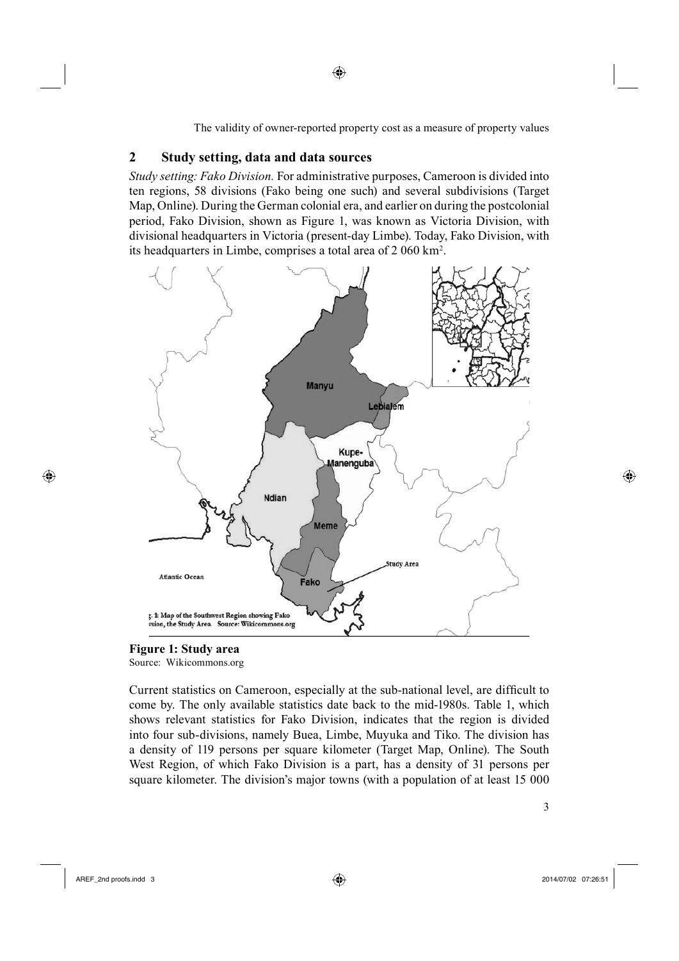# **2 Study setting, data and data sources**

*Study setting: Fako Division.* For administrative purposes, Cameroon is divided into ten regions, 58 divisions (Fako being one such) and several subdivisions (Target Map, Online). During the German colonial era, and earlier on during the postcolonial period, Fako Division, shown as Figure 1, was known as Victoria Division, with divisional headquarters in Victoria (present-day Limbe). Today, Fako Division, with its headquarters in Limbe, comprises a total area of 2 060 km2 .

◈



**Figure 1: Study area**

Source: Wikicommons.org

Current statistics on Cameroon, especially at the sub-national level, are difficult to come by. The only available statistics date back to the mid-1980s. Table 1, which shows relevant statistics for Fako Division, indicates that the region is divided into four sub-divisions, namely Buea, Limbe, Muyuka and Tiko. The division has a density of 119 persons per square kilometer (Target Map, Online). The South West Region, of which Fako Division is a part, has a density of 31 persons per square kilometer. The division's major towns (with a population of at least 15 000

⊕

◈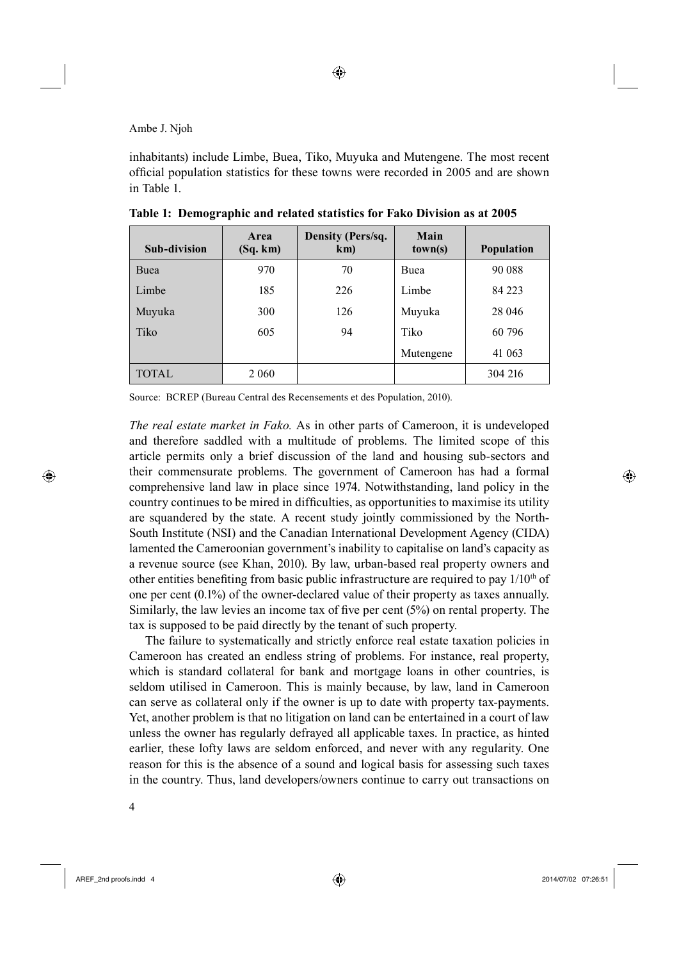inhabitants) include Limbe, Buea, Tiko, Muyuka and Mutengene. The most recent official population statistics for these towns were recorded in 2005 and are shown in Table 1.

| <b>Sub-division</b> | Area<br>(Sq. km) | Density (Pers/sq.<br>km) | Main<br>town(s) | <b>Population</b> |  |
|---------------------|------------------|--------------------------|-----------------|-------------------|--|
| Buea                | 970              | 70                       | Buea            | 90 088            |  |
| Limbe               | 185              | 226                      | Limbe           | 84 223            |  |
| Muyuka              | 300              | 126                      | Muyuka          | 28 046            |  |
| Tiko                | 605              | 94                       | Tiko            | 60 796            |  |
|                     |                  |                          | Mutengene       | 41 063            |  |
| <b>TOTAL</b>        | 2 0 6 0          |                          |                 | 304 216           |  |

**Table 1: Demographic and related statistics for Fako Division as at 2005**

Source: BCREP (Bureau Central des Recensements et des Population, 2010).

*The real estate market in Fako.* As in other parts of Cameroon, it is undeveloped and therefore saddled with a multitude of problems. The limited scope of this article permits only a brief discussion of the land and housing sub-sectors and their commensurate problems. The government of Cameroon has had a formal comprehensive land law in place since 1974. Notwithstanding, land policy in the country continues to be mired in difficulties, as opportunities to maximise its utility are squandered by the state. A recent study jointly commissioned by the North-South Institute (NSI) and the Canadian International Development Agency (CIDA) lamented the Cameroonian government's inability to capitalise on land's capacity as a revenue source (see Khan, 2010). By law, urban-based real property owners and other entities benefiting from basic public infrastructure are required to pay  $1/10<sup>th</sup>$  of one per cent (0.1%) of the owner-declared value of their property as taxes annually. Similarly, the law levies an income tax of five per cent  $(5%)$  on rental property. The tax is supposed to be paid directly by the tenant of such property.

The failure to systematically and strictly enforce real estate taxation policies in Cameroon has created an endless string of problems. For instance, real property, which is standard collateral for bank and mortgage loans in other countries, is seldom utilised in Cameroon. This is mainly because, by law, land in Cameroon can serve as collateral only if the owner is up to date with property tax-payments. Yet, another problem is that no litigation on land can be entertained in a court of law unless the owner has regularly defrayed all applicable taxes. In practice, as hinted earlier, these lofty laws are seldom enforced, and never with any regularity. One reason for this is the absence of a sound and logical basis for assessing such taxes in the country. Thus, land developers/owners continue to carry out transactions on

⊕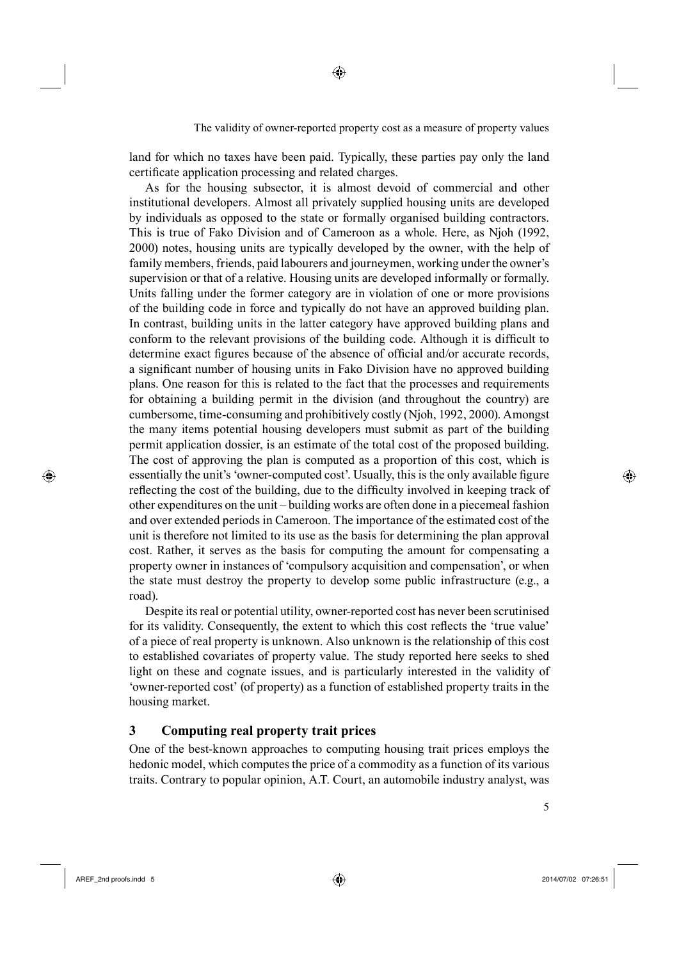land for which no taxes have been paid. Typically, these parties pay only the land certificate application processing and related charges.

◈

4As for the housing subsector, it is almost devoid of commercial and other institutional developers. Almost all privately supplied housing units are developed by individuals as opposed to the state or formally organised building contractors. This is true of Fako Division and of Cameroon as a whole. Here, as Njoh (1992, 2000) notes, housing units are typically developed by the owner, with the help of family members, friends, paid labourers and journeymen, working under the owner's supervision or that of a relative. Housing units are developed informally or formally. Units falling under the former category are in violation of one or more provisions of the building code in force and typically do not have an approved building plan. In contrast, building units in the latter category have approved building plans and conform to the relevant provisions of the building code. Although it is difficult to determine exact figures because of the absence of official and/or accurate records, a significant number of housing units in Fako Division have no approved building plans. One reason for this is related to the fact that the processes and requirements for obtaining a building permit in the division (and throughout the country) are cumbersome, time-consuming and prohibitively costly (Njoh, 1992, 2000). Amongst the many items potential housing developers must submit as part of the building permit application dossier, is an estimate of the total cost of the proposed building. The cost of approving the plan is computed as a proportion of this cost, which is essentially the unit's 'owner-computed cost'. Usually, this is the only available figure reflecting the cost of the building, due to the difficulty involved in keeping track of other expenditures on the unit – building works are often done in a piecemeal fashion and over extended periods in Cameroon. The importance of the estimated cost of the unit is therefore not limited to its use as the basis for determining the plan approval cost. Rather, it serves as the basis for computing the amount for compensating a property owner in instances of 'compulsory acquisition and compensation', or when the state must destroy the property to develop some public infrastructure (e.g., a road).

5Despite its real or potential utility, owner-reported cost has never been scrutinised for its validity. Consequently, the extent to which this cost reflects the 'true value' of a piece of real property is unknown. Also unknown is the relationship of this cost to established covariates of property value. The study reported here seeks to shed light on these and cognate issues, and is particularly interested in the validity of 'owner-reported cost' (of property) as a function of established property traits in the housing market.

# **3 Computing real property trait prices**

One of the best-known approaches to computing housing trait prices employs the hedonic model, which computes the price of a commodity as a function of its various traits. Contrary to popular opinion, A.T. Court, an automobile industry analyst, was

⊕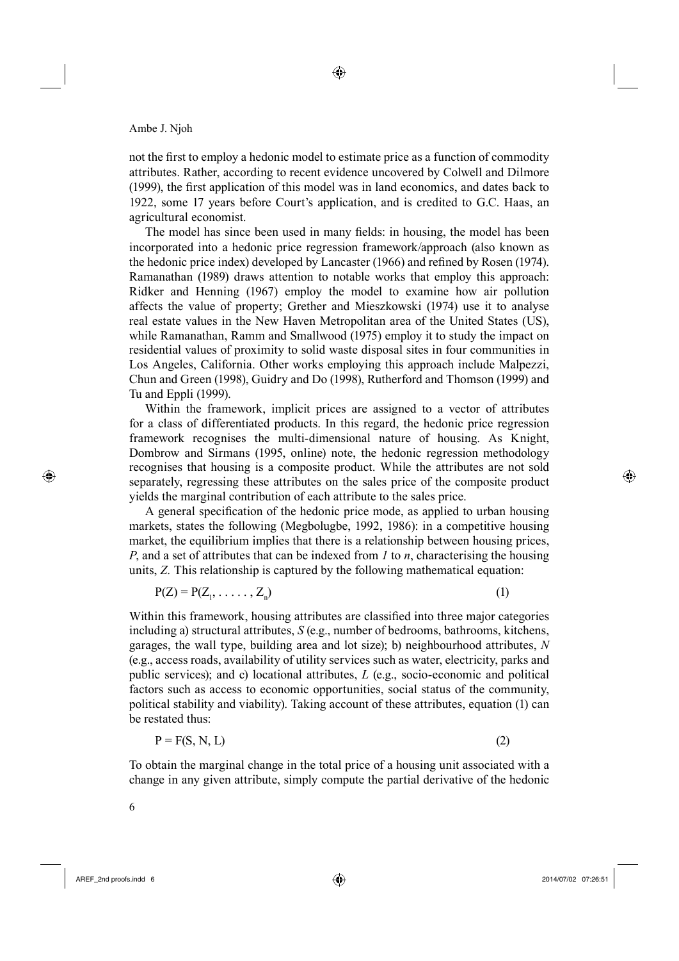not the first to employ a hedonic model to estimate price as a function of commodity attributes. Rather, according to recent evidence uncovered by Colwell and Dilmore (1999), the first application of this model was in land economics, and dates back to 1922, some 17 years before Court's application, and is credited to G.C. Haas, an agricultural economist.

◈

The model has since been used in many fields: in housing, the model has been incorporated into a hedonic price regression framework/approach (also known as the hedonic price index) developed by Lancaster (1966) and refined by Rosen (1974). Ramanathan (1989) draws attention to notable works that employ this approach: Ridker and Henning (1967) employ the model to examine how air pollution affects the value of property; Grether and Mieszkowski (1974) use it to analyse real estate values in the New Haven Metropolitan area of the United States (US), while Ramanathan, Ramm and Smallwood (1975) employ it to study the impact on residential values of proximity to solid waste disposal sites in four communities in Los Angeles, California. Other works employing this approach include Malpezzi, Chun and Green (1998), Guidry and Do (1998), Rutherford and Thomson (1999) and Tu and Eppli (1999).

Within the framework, implicit prices are assigned to a vector of attributes for a class of differentiated products. In this regard, the hedonic price regression framework recognises the multi-dimensional nature of housing. As Knight, Dombrow and Sirmans (1995, online) note, the hedonic regression methodology recognises that housing is a composite product. While the attributes are not sold separately, regressing these attributes on the sales price of the composite product yields the marginal contribution of each attribute to the sales price.

A general specification of the hedonic price mode, as applied to urban housing markets, states the following (Megbolugbe, 1992, 1986): in a competitive housing market, the equilibrium implies that there is a relationship between housing prices, *P*, and a set of attributes that can be indexed from *1* to *n*, characterising the housing units, *Z.* This relationship is captured by the following mathematical equation:

$$
P(Z) = P(Z_1, \ldots, Z_n) \tag{1}
$$

Within this framework, housing attributes are classified into three major categories including a) structural attributes, *S* (e.g., number of bedrooms, bathrooms, kitchens, garages, the wall type, building area and lot size); b) neighbourhood attributes, *N* (e.g., access roads, availability of utility services such as water, electricity, parks and public services); and c) locational attributes, *L* (e.g., socio-economic and political factors such as access to economic opportunities, social status of the community, political stability and viability). Taking account of these attributes, equation (1) can be restated thus:

$$
P = F(S, N, L) \tag{2}
$$

To obtain the marginal change in the total price of a housing unit associated with a change in any given attribute, simply compute the partial derivative of the hedonic

⊕

AREF\_2nd proofs.indd 6 2014/07/02 07:26:51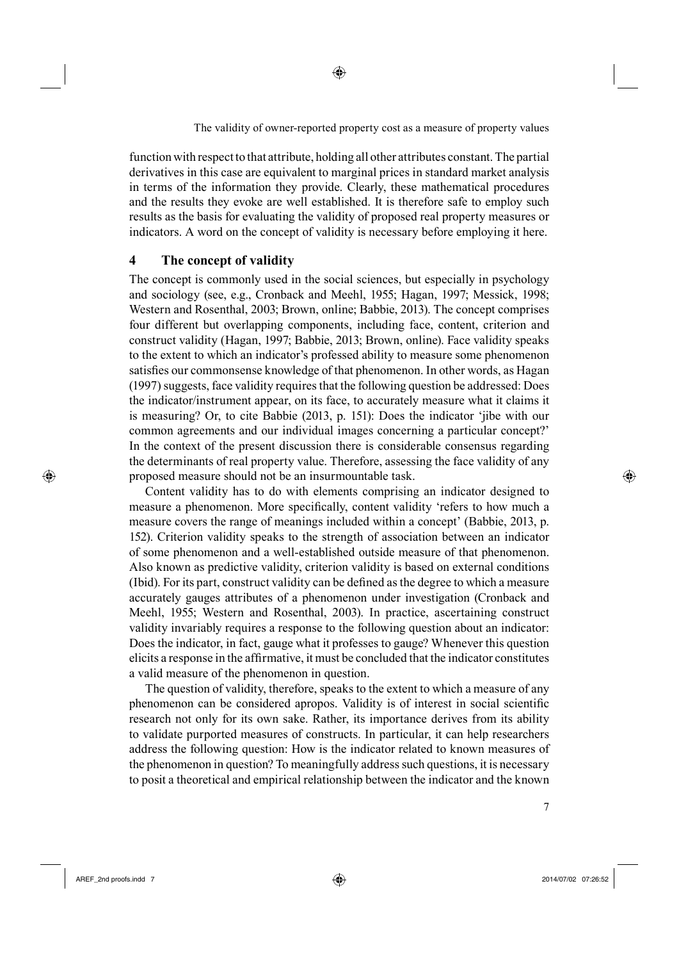function with respect to that attribute, holding all other attributes constant. The partial derivatives in this case are equivalent to marginal prices in standard market analysis in terms of the information they provide. Clearly, these mathematical procedures and the results they evoke are well established. It is therefore safe to employ such results as the basis for evaluating the validity of proposed real property measures or indicators. A word on the concept of validity is necessary before employing it here.

# **4 The concept of validity**

The concept is commonly used in the social sciences, but especially in psychology and sociology (see, e.g., Cronback and Meehl, 1955; Hagan, 1997; Messick, 1998; Western and Rosenthal, 2003; Brown, online; Babbie, 2013). The concept comprises four different but overlapping components, including face, content, criterion and construct validity (Hagan, 1997; Babbie, 2013; Brown, online). Face validity speaks to the extent to which an indicator's professed ability to measure some phenomenon satisfies our commonsense knowledge of that phenomenon. In other words, as Hagan (1997) suggests, face validity requires that the following question be addressed: Does the indicator/instrument appear, on its face, to accurately measure what it claims it is measuring? Or, to cite Babbie (2013, p. 151): Does the indicator 'jibe with our common agreements and our individual images concerning a particular concept?' In the context of the present discussion there is considerable consensus regarding the determinants of real property value. Therefore, assessing the face validity of any proposed measure should not be an insurmountable task.

9Content validity has to do with elements comprising an indicator designed to measure a phenomenon. More specifically, content validity 'refers to how much a measure covers the range of meanings included within a concept' (Babbie, 2013, p. 152). Criterion validity speaks to the strength of association between an indicator of some phenomenon and a well-established outside measure of that phenomenon. Also known as predictive validity, criterion validity is based on external conditions (Ibid). For its part, construct validity can be defined as the degree to which a measure accurately gauges attributes of a phenomenon under investigation (Cronback and Meehl, 1955; Western and Rosenthal, 2003). In practice, ascertaining construct validity invariably requires a response to the following question about an indicator: Does the indicator, in fact, gauge what it professes to gauge? Whenever this question elicits a response in the affirmative, it must be concluded that the indicator constitutes a valid measure of the phenomenon in question.

The question of validity, therefore, speaks to the extent to which a measure of any phenomenon can be considered apropos. Validity is of interest in social scientific research not only for its own sake. Rather, its importance derives from its ability to validate purported measures of constructs. In particular, it can help researchers address the following question: How is the indicator related to known measures of the phenomenon in question? To meaningfully address such questions, it is necessary to posit a theoretical and empirical relationship between the indicator and the known

⊕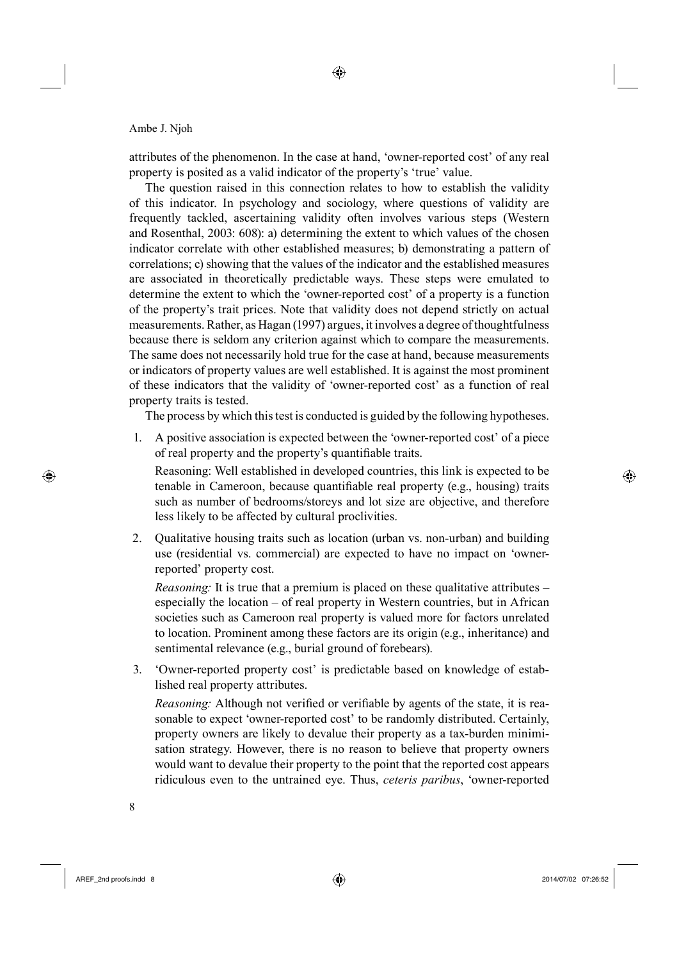attributes of the phenomenon. In the case at hand, 'owner-reported cost' of any real property is posited as a valid indicator of the property's 'true' value.

The question raised in this connection relates to how to establish the validity of this indicator. In psychology and sociology, where questions of validity are frequently tackled, ascertaining validity often involves various steps (Western and Rosenthal, 2003: 608): a) determining the extent to which values of the chosen indicator correlate with other established measures; b) demonstrating a pattern of correlations; c) showing that the values of the indicator and the established measures are associated in theoretically predictable ways. These steps were emulated to determine the extent to which the 'owner-reported cost' of a property is a function of the property's trait prices. Note that validity does not depend strictly on actual measurements. Rather, as Hagan (1997) argues, it involves a degree of thoughtfulness because there is seldom any criterion against which to compare the measurements. The same does not necessarily hold true for the case at hand, because measurements or indicators of property values are well established. It is against the most prominent of these indicators that the validity of 'owner-reported cost' as a function of real property traits is tested.

The process by which this test is conducted is guided by the following hypotheses.

1. A positive association is expected between the 'owner-reported cost' of a piece of real property and the property's quantifiable traits.

Reasoning: Well established in developed countries, this link is expected to be tenable in Cameroon, because quantifiable real property (e.g., housing) traits such as number of bedrooms/storeys and lot size are objective, and therefore less likely to be affected by cultural proclivities.

2. Qualitative housing traits such as location (urban vs. non-urban) and building use (residential vs. commercial) are expected to have no impact on 'ownerreported' property cost.

*Reasoning:* It is true that a premium is placed on these qualitative attributes – especially the location – of real property in Western countries, but in African societies such as Cameroon real property is valued more for factors unrelated to location. Prominent among these factors are its origin (e.g., inheritance) and sentimental relevance (e.g., burial ground of forebears).

3. 'Owner-reported property cost' is predictable based on knowledge of established real property attributes.

*Reasoning:* Although not verified or verifiable by agents of the state, it is reasonable to expect 'owner-reported cost' to be randomly distributed. Certainly, property owners are likely to devalue their property as a tax-burden minimisation strategy. However, there is no reason to believe that property owners would want to devalue their property to the point that the reported cost appears ridiculous even to the untrained eye. Thus, *ceteris paribus*, 'owner-reported

⊕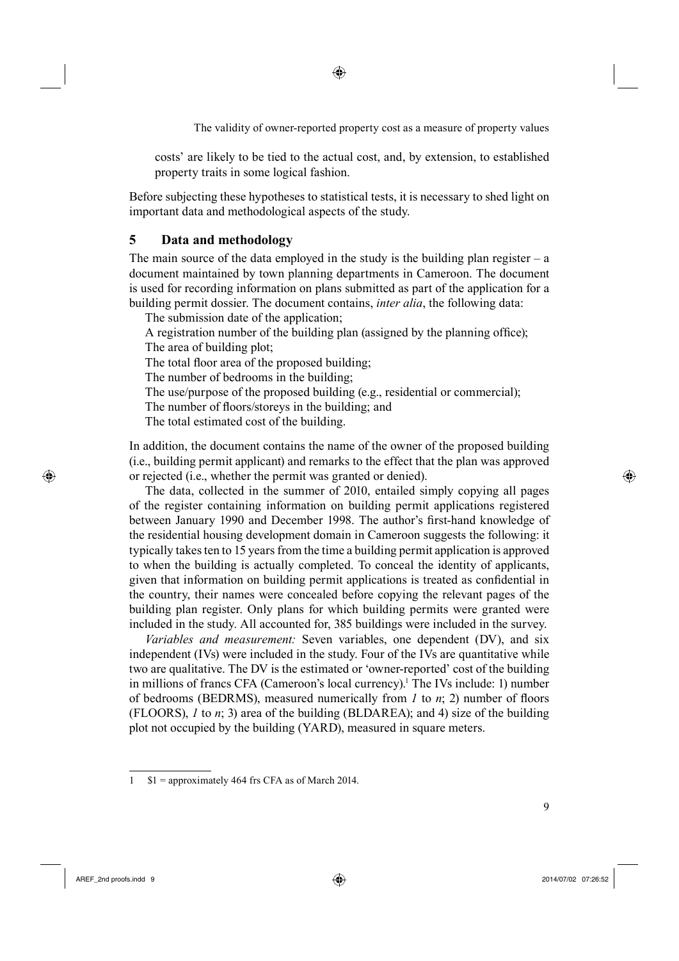⊕

The validity of owner-reported property cost as a measure of property values

costs' are likely to be tied to the actual cost, and, by extension, to established property traits in some logical fashion.

Before subjecting these hypotheses to statistical tests, it is necessary to shed light on important data and methodological aspects of the study.

## **5 Data and methodology**

The main source of the data employed in the study is the building plan register  $-$  a document maintained by town planning departments in Cameroon. The document is used for recording information on plans submitted as part of the application for a building permit dossier. The document contains, *inter alia*, the following data:

The submission date of the application;

A registration number of the building plan (assigned by the planning office); The area of building plot;

The total floor area of the proposed building;

The number of bedrooms in the building;

The use/purpose of the proposed building (e.g., residential or commercial);

The number of floors/storeys in the building; and

The total estimated cost of the building.

In addition, the document contains the name of the owner of the proposed building (i.e., building permit applicant) and remarks to the effect that the plan was approved or rejected (i.e., whether the permit was granted or denied).

The data, collected in the summer of 2010, entailed simply copying all pages of the register containing information on building permit applications registered between January 1990 and December 1998. The author's first-hand knowledge of the residential housing development domain in Cameroon suggests the following: it typically takes ten to 15 years from the time a building permit application is approved to when the building is actually completed. To conceal the identity of applicants, given that information on building permit applications is treated as confidential in the country, their names were concealed before copying the relevant pages of the building plan register. Only plans for which building permits were granted were included in the study. All accounted for, 385 buildings were included in the survey.

Variables and measurement: Seven variables, one dependent (DV), and six independent (IVs) were included in the study. Four of the IVs are quantitative while two are qualitative. The DV is the estimated or 'owner-reported' cost of the building in millions of francs CFA (Cameroon's local currency).<sup>1</sup> The IVs include: 1) number of bedrooms (BEDRMS), measured numerically from  $I$  to  $n$ ; 2) number of floors (FLOORS), *1* to *n*; 3) area of the building (BLDAREA); and 4) size of the building plot not occupied by the building (YARD), measured in square meters.

⊕

<sup>1 \$1 =</sup> approximately 464 frs CFA as of March 2014.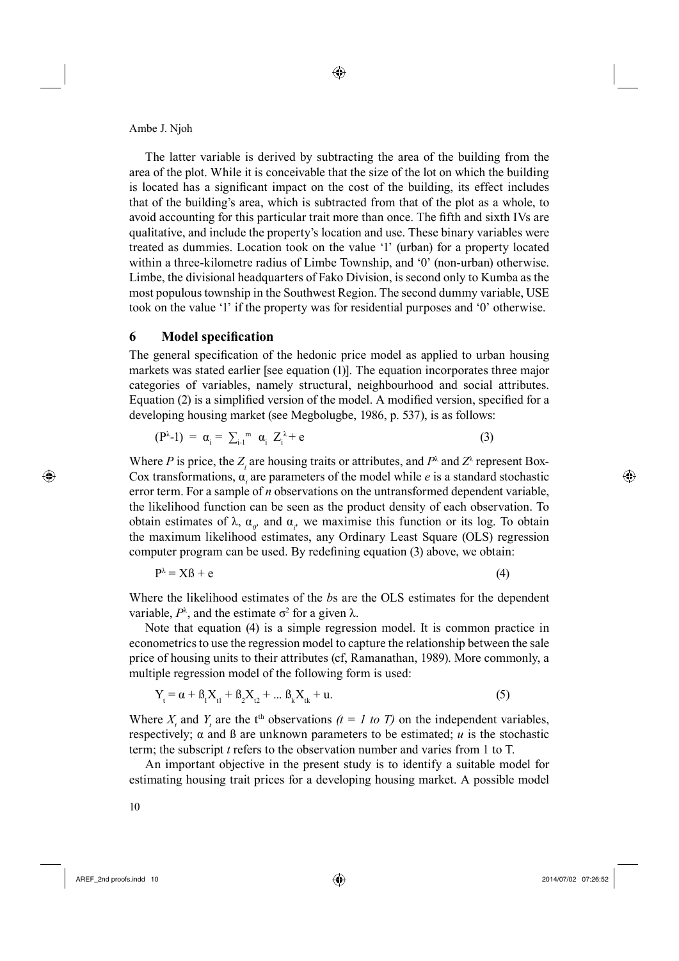The latter variable is derived by subtracting the area of the building from the area of the plot. While it is conceivable that the size of the lot on which the building is located has a significant impact on the cost of the building, its effect includes that of the building's area, which is subtracted from that of the plot as a whole, to avoid accounting for this particular trait more than once. The fifth and sixth IVs are qualitative, and include the property's location and use. These binary variables were treated as dummies. Location took on the value '1' (urban) for a property located within a three-kilometre radius of Limbe Township, and '0' (non-urban) otherwise. Limbe, the divisional headquarters of Fako Division, is second only to Kumba as the most populous township in the Southwest Region. The second dummy variable, USE took on the value '1' if the property was for residential purposes and '0' otherwise.

## **6** Model specification

The general specification of the hedonic price model as applied to urban housing markets was stated earlier [see equation (1)]. The equation incorporates three major categories of variables, namely structural, neighbourhood and social attributes. Equation  $(2)$  is a simplified version of the model. A modified version, specified for a developing housing market (see Megbolugbe, 1986, p. 537), is as follows:

$$
(\mathbf{P}^{\lambda}-1) = \alpha_{i} = \sum_{i=1}^{\infty} \alpha_{i} Z_{i}^{\lambda} + \mathbf{e}
$$
 (3)

Where *P* is price, the  $Z_i$  are housing traits or attributes, and  $P^{\lambda}$  and  $Z^{\lambda}$  represent Box-Cox transformations,  $\alpha_i$  are parameters of the model while *e* is a standard stochastic error term. For a sample of *n* observations on the untransformed dependent variable, the likelihood function can be seen as the product density of each observation. To obtain estimates of  $\lambda$ ,  $\alpha_{\rho}$  and  $\alpha_{\rho}$  we maximise this function or its log. To obtain the maximum likelihood estimates, any Ordinary Least Square (OLS) regression computer program can be used. By redefining equation (3) above, we obtain:

$$
P^{\lambda} = X\beta + e \tag{4}
$$

Where the likelihood estimates of the *b*s are the OLS estimates for the dependent variable,  $P^{\lambda}$ , and the estimate  $\sigma^2$  for a given  $\lambda$ .

Note that equation (4) is a simple regression model. It is common practice in econometrics to use the regression model to capture the relationship between the sale price of housing units to their attributes (cf, Ramanathan, 1989). More commonly, a multiple regression model of the following form is used:

$$
Y_{t} = \alpha + \beta_{1}X_{t1} + \beta_{2}X_{t2} + \dots \beta_{k}X_{tk} + u.
$$
 (5)

Where  $X_t$  and  $Y_t$  are the t<sup>th</sup> observations  $(t = I \text{ to } T)$  on the independent variables, respectively;  $\alpha$  and  $\beta$  are unknown parameters to be estimated; *u* is the stochastic term; the subscript *t* refers to the observation number and varies from 1 to T.

17An important objective in the present study is to identify a suitable model for estimating housing trait prices for a developing housing market. A possible model

⊕

AREF\_2nd proofs.indd 10 2014/07/02 07:26:52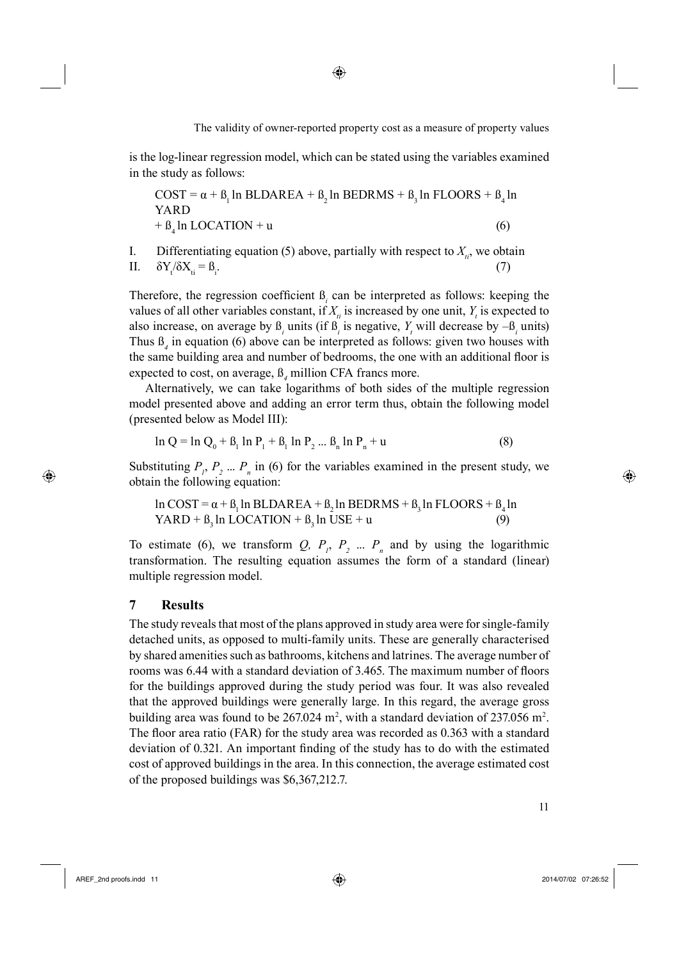is the log-linear regression model, which can be stated using the variables examined in the study as follows:

$$
COST = \alpha + \beta_1 \ln \text{BLDAREA} + \beta_2 \ln \text{BEDRMS} + \beta_3 \ln \text{FLOORS} + \beta_4 \ln \text{YARD}
$$
  
+  $\beta_4 \ln \text{LOCATION} + u$  (6)

I. Differentiating equation (5) above, partially with respect to  $X_{ii}$ , we obtain II.  $\delta Y_t / \delta X_{ti} = \beta_i$ .  $(7)$ 

Therefore, the regression coefficient  $\mathbf{B}_i$  can be interpreted as follows: keeping the values of all other variables constant, if  $X_{ti}$  is increased by one unit,  $Y_t$  is expected to also increase, on average by  $\beta$ <sub>*i*</sub> units (if  $\beta$ <sub>*i*</sub> is negative, *Y*<sub>*i*</sub> will decrease by  $-\beta$ <sub>*i*</sub> units) Thus  $\mathcal{B}_4$  in equation (6) above can be interpreted as follows: given two houses with the same building area and number of bedrooms, the one with an additional floor is expected to cost, on average,  $\beta_4$  million CFA francs more.

Alternatively, we can take logarithms of both sides of the multiple regression model presented above and adding an error term thus, obtain the following model (presented below as Model III):

$$
\ln Q = \ln Q_0 + \beta_1 \ln P_1 + \beta_1 \ln P_2 ... \beta_n \ln P_n + u \tag{8}
$$

Substituting  $P_1, P_2, \ldots, P_n$  in (6) for the variables examined in the present study, we obtain the following equation:

$$
\ln \text{COST} = \alpha + \beta_1 \ln \text{BLDAREA} + \beta_2 \ln \text{BEDRMS} + \beta_3 \ln \text{FLOORS} + \beta_4 \ln \text{YARD} + \beta_3 \ln \text{LOCATION} + \beta_3 \ln \text{USE} + \mathbf{u}
$$
 (9)

To estimate (6), we transform  $Q$ ,  $P_1$ ,  $P_2$  ...  $P_n$  and by using the logarithmic transformation. The resulting equation assumes the form of a standard (linear) multiple regression model.

# **7 Results**

⊕

The study reveals that most of the plans approved in study area were for single-family detached units, as opposed to multi-family units. These are generally characterised by shared amenities such as bathrooms, kitchens and latrines. The average number of rooms was 6.44 with a standard deviation of 3.465. The maximum number of floors for the buildings approved during the study period was four. It was also revealed that the approved buildings were generally large. In this regard, the average gross building area was found to be  $267.024$  m<sup>2</sup>, with a standard deviation of  $237.056$  m<sup>2</sup>. The floor area ratio (FAR) for the study area was recorded as  $0.363$  with a standard deviation of 0.321. An important finding of the study has to do with the estimated cost of approved buildings in the area. In this connection, the average estimated cost of the proposed buildings was \$6,367,212.7.

AREF\_2nd proofs.indd 11 2014/07/02 07:26:52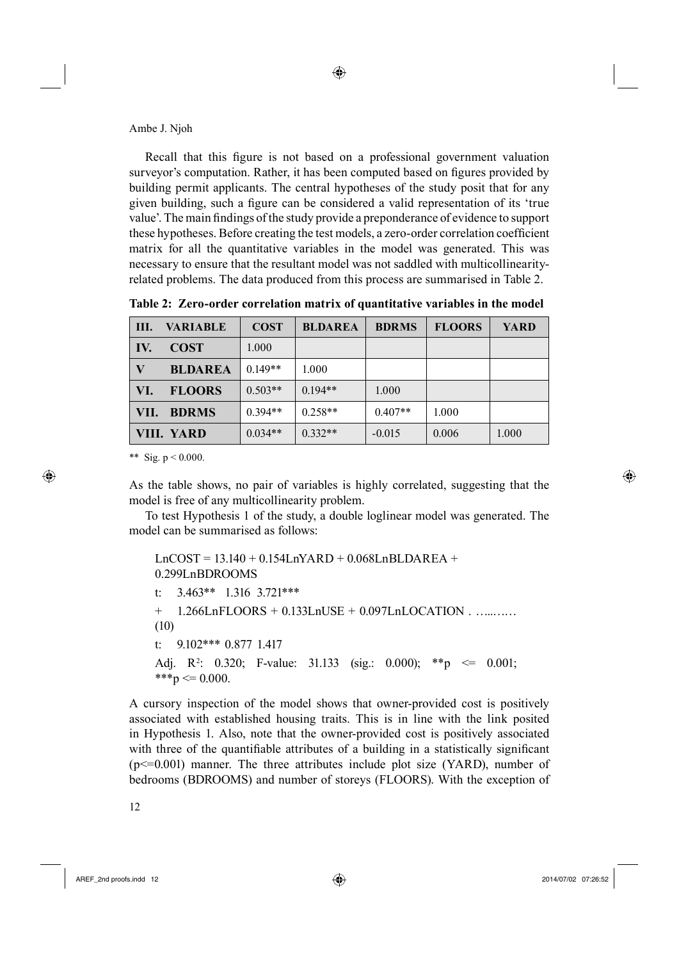Recall that this figure is not based on a professional government valuation surveyor's computation. Rather, it has been computed based on figures provided by building permit applicants. The central hypotheses of the study posit that for any given building, such a figure can be considered a valid representation of its 'true value'. The main findings of the study provide a preponderance of evidence to support these hypotheses. Before creating the test models, a zero-order correlation coefficient matrix for all the quantitative variables in the model was generated. This was necessary to ensure that the resultant model was not saddled with multicollinearityrelated problems. The data produced from this process are summarised in Table 2.

| III. | <b>VARIABLE</b> | <b>COST</b> | <b>BLDAREA</b> | <b>BDRMS</b> | <b>FLOORS</b> | <b>YARD</b> |
|------|-----------------|-------------|----------------|--------------|---------------|-------------|
| IV.  | <b>COST</b>     | 1.000       |                |              |               |             |
| V    | <b>BLDAREA</b>  | $0.149**$   | 1.000          |              |               |             |
| VI.  | <b>FLOORS</b>   | $0.503**$   | $0.194**$      | 1.000        |               |             |
| VII. | <b>BDRMS</b>    | $0.394**$   | $0.258**$      | $0.407**$    | 1.000         |             |
|      | VIII. YARD      | $0.034**$   | $0.332**$      | $-0.015$     | 0.006         | 1.000       |

**Table 2: Zero-order correlation matrix of quantitative variables in the model**

\*\* Sig.  $p < 0.000$ .

⊕

As the table shows, no pair of variables is highly correlated, suggesting that the model is free of any multicollinearity problem.

20To test Hypothesis 1 of the study, a double loglinear model was generated. The model can be summarised as follows:

LnCOST = 13.140 + 0.154LnYARD + 0.068LnBLDAREA + 0.299LnBDROOMS t: 3.463\*\* 1.316 3.721\*\*\* + 1.266LnFLOORS + 0.133LnUSE + 0.097LnLOCATION . …..…… (10) t: 9.102\*\*\* 0.877 1.417 Adj. R<sup>2</sup>: 0.320; F-value: 31.133 (sig.: 0.000); \*\*p  $\leq$  0.001; \*\*\*p  $\leq 0.000$ .

A cursory inspection of the model shows that owner-provided cost is positively associated with established housing traits. This is in line with the link posited in Hypothesis 1. Also, note that the owner-provided cost is positively associated with three of the quantifiable attributes of a building in a statistically significant  $(p \le 0.001)$  manner. The three attributes include plot size (YARD), number of bedrooms (BDROOMS) and number of storeys (FLOORS). With the exception of

AREF\_2nd proofs.indd 12 2014/07/02 07:26:52

◈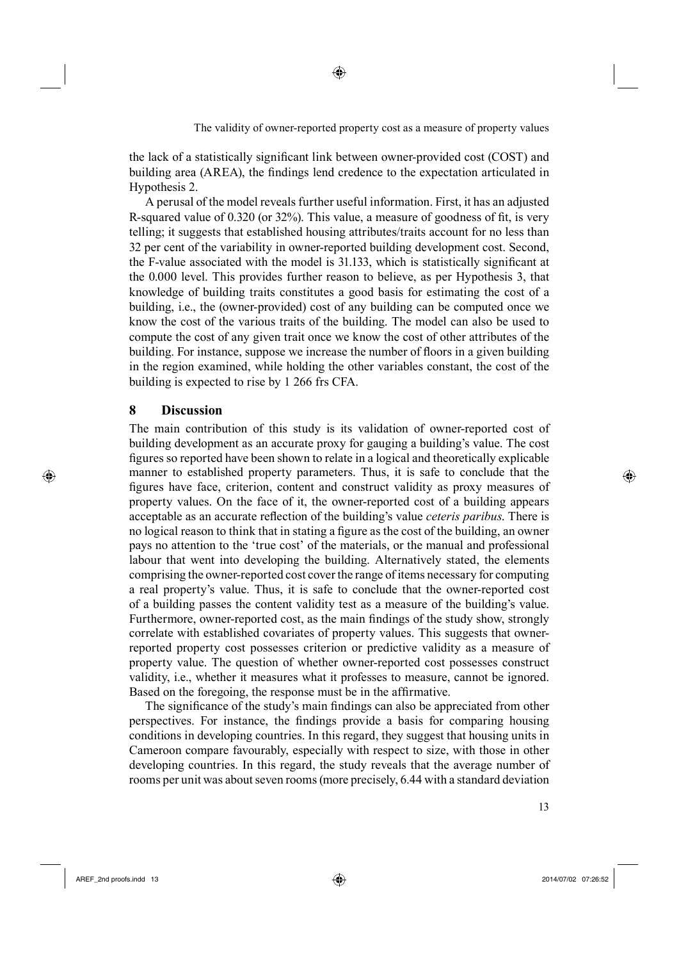the lack of a statistically significant link between owner-provided cost (COST) and building area (AREA), the findings lend credence to the expectation articulated in Hypothesis 2.

A perusal of the model reveals further useful information. First, it has an adjusted R-squared value of 0.320 (or 32%). This value, a measure of goodness of fit, is very telling; it suggests that established housing attributes/traits account for no less than 32 per cent of the variability in owner-reported building development cost. Second, the F-value associated with the model is 31.133, which is statistically significant at the 0.000 level. This provides further reason to believe, as per Hypothesis 3, that knowledge of building traits constitutes a good basis for estimating the cost of a building, i.e., the (owner-provided) cost of any building can be computed once we know the cost of the various traits of the building. The model can also be used to compute the cost of any given trait once we know the cost of other attributes of the building. For instance, suppose we increase the number of floors in a given building in the region examined, while holding the other variables constant, the cost of the building is expected to rise by 1 266 frs CFA.

## **8 Discussion**

⊕

The main contribution of this study is its validation of owner-reported cost of building development as an accurate proxy for gauging a building's value. The cost figures so reported have been shown to relate in a logical and theoretically explicable manner to established property parameters. Thus, it is safe to conclude that the figures have face, criterion, content and construct validity as proxy measures of property values. On the face of it, the owner-reported cost of a building appears acceptable as an accurate reflection of the building's value *ceteris paribus*. There is no logical reason to think that in stating a figure as the cost of the building, an owner pays no attention to the 'true cost' of the materials, or the manual and professional labour that went into developing the building. Alternatively stated, the elements comprising the owner-reported cost cover the range of items necessary for computing a real property's value. Thus, it is safe to conclude that the owner-reported cost of a building passes the content validity test as a measure of the building's value. Furthermore, owner-reported cost, as the main findings of the study show, strongly correlate with established covariates of property values. This suggests that ownerreported property cost possesses criterion or predictive validity as a measure of property value. The question of whether owner-reported cost possesses construct validity, i.e., whether it measures what it professes to measure, cannot be ignored. Based on the foregoing, the response must be in the affirmative.

The significance of the study's main findings can also be appreciated from other perspectives. For instance, the findings provide a basis for comparing housing conditions in developing countries. In this regard, they suggest that housing units in Cameroon compare favourably, especially with respect to size, with those in other developing countries. In this regard, the study reveals that the average number of rooms per unit was about seven rooms (more precisely, 6.44 with a standard deviation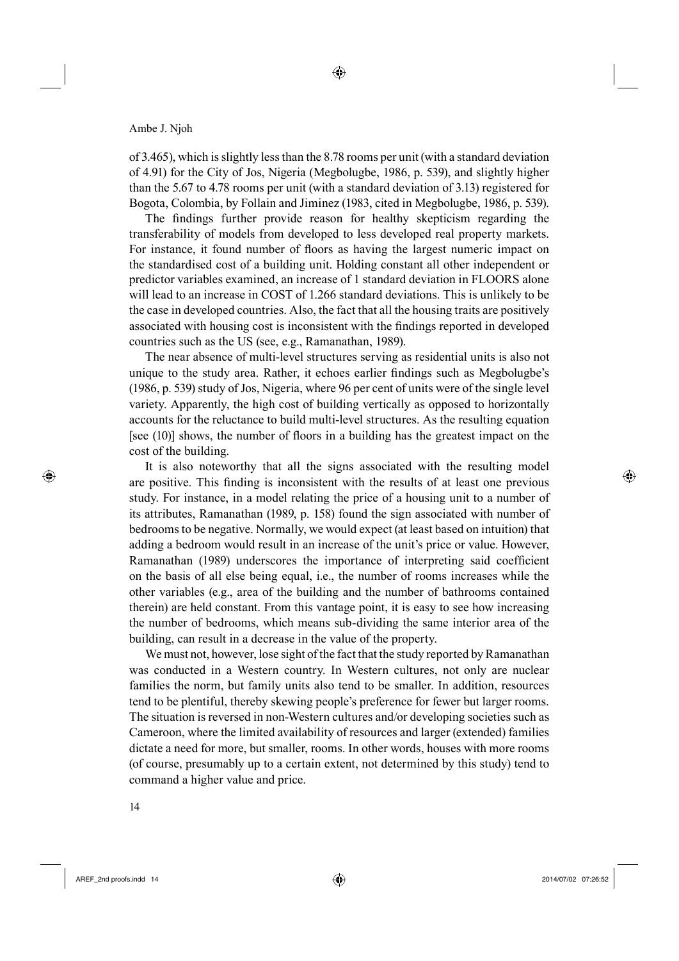of 3.465), which is slightly less than the 8.78 rooms per unit (with a standard deviation of 4.91) for the City of Jos, Nigeria (Megbolugbe, 1986, p. 539), and slightly higher than the 5.67 to 4.78 rooms per unit (with a standard deviation of 3.13) registered for Bogota, Colombia, by Follain and Jiminez (1983, cited in Megbolugbe, 1986, p. 539).

The findings further provide reason for healthy skepticism regarding the transferability of models from developed to less developed real property markets. For instance, it found number of floors as having the largest numeric impact on the standardised cost of a building unit. Holding constant all other independent or predictor variables examined, an increase of 1 standard deviation in FLOORS alone will lead to an increase in COST of 1.266 standard deviations. This is unlikely to be the case in developed countries. Also, the fact that all the housing traits are positively associated with housing cost is inconsistent with the findings reported in developed countries such as the US (see, e.g., Ramanathan, 1989).

The near absence of multi-level structures serving as residential units is also not unique to the study area. Rather, it echoes earlier findings such as Megbolugbe's (1986, p. 539) study of Jos, Nigeria, where 96 per cent of units were of the single level variety. Apparently, the high cost of building vertically as opposed to horizontally accounts for the reluctance to build multi-level structures. As the resulting equation [see  $(10)$ ] shows, the number of floors in a building has the greatest impact on the cost of the building.

It is also noteworthy that all the signs associated with the resulting model are positive. This finding is inconsistent with the results of at least one previous study. For instance, in a model relating the price of a housing unit to a number of its attributes, Ramanathan (1989, p. 158) found the sign associated with number of bedrooms to be negative. Normally, we would expect (at least based on intuition) that adding a bedroom would result in an increase of the unit's price or value. However, Ramanathan (1989) underscores the importance of interpreting said coefficient on the basis of all else being equal, i.e., the number of rooms increases while the other variables (e.g., area of the building and the number of bathrooms contained therein) are held constant. From this vantage point, it is easy to see how increasing the number of bedrooms, which means sub-dividing the same interior area of the building, can result in a decrease in the value of the property.

We must not, however, lose sight of the fact that the study reported by Ramanathan was conducted in a Western country. In Western cultures, not only are nuclear families the norm, but family units also tend to be smaller. In addition, resources tend to be plentiful, thereby skewing people's preference for fewer but larger rooms. The situation is reversed in non-Western cultures and/or developing societies such as Cameroon, where the limited availability of resources and larger (extended) families dictate a need for more, but smaller, rooms. In other words, houses with more rooms (of course, presumably up to a certain extent, not determined by this study) tend to command a higher value and price.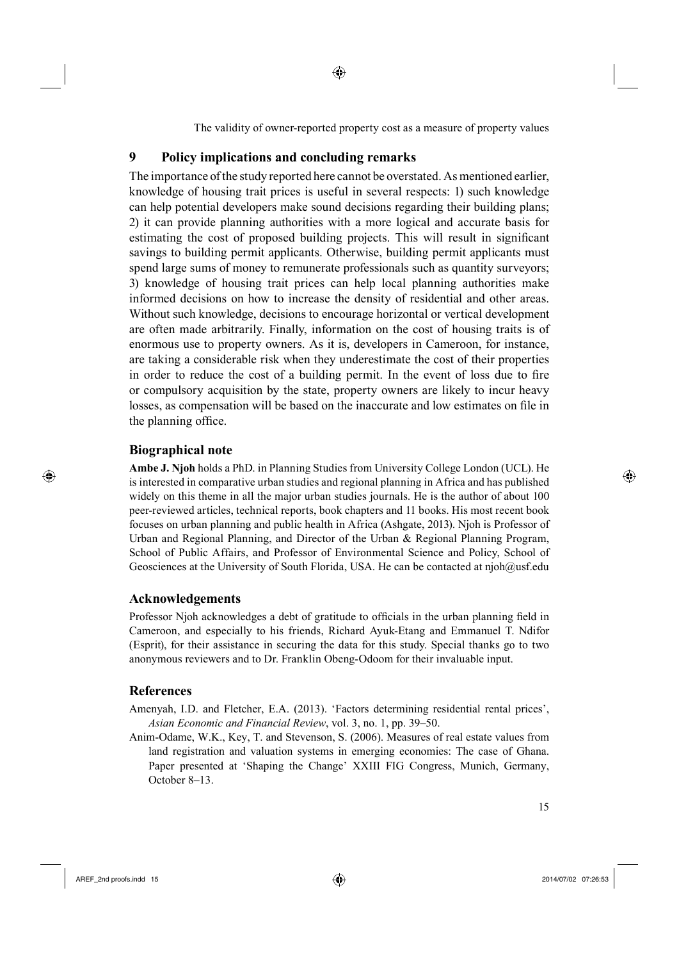⊕

The validity of owner-reported property cost as a measure of property values

# **9 Policy implications and concluding remarks**

The importance of the study reported here cannot be overstated. As mentioned earlier, knowledge of housing trait prices is useful in several respects: 1) such knowledge can help potential developers make sound decisions regarding their building plans; 2) it can provide planning authorities with a more logical and accurate basis for estimating the cost of proposed building projects. This will result in significant savings to building permit applicants. Otherwise, building permit applicants must spend large sums of money to remunerate professionals such as quantity surveyors; 3) knowledge of housing trait prices can help local planning authorities make informed decisions on how to increase the density of residential and other areas. Without such knowledge, decisions to encourage horizontal or vertical development are often made arbitrarily. Finally, information on the cost of housing traits is of enormous use to property owners. As it is, developers in Cameroon, for instance, are taking a considerable risk when they underestimate the cost of their properties in order to reduce the cost of a building permit. In the event of loss due to fire or compulsory acquisition by the state, property owners are likely to incur heavy losses, as compensation will be based on the inaccurate and low estimates on file in the planning office.

## **Biographical note**

⊕

**Ambe J. Njoh** holds a PhD. in Planning Studies from University College London (UCL). He is interested in comparative urban studies and regional planning in Africa and has published widely on this theme in all the major urban studies journals. He is the author of about 100 peer-reviewed articles, technical reports, book chapters and 11 books. His most recent book focuses on urban planning and public health in Africa (Ashgate, 2013). Njoh is Professor of Urban and Regional Planning, and Director of the Urban & Regional Planning Program, School of Public Affairs, and Professor of Environmental Science and Policy, School of Geosciences at the University of South Florida, USA. He can be contacted at njoh@usf.edu

## **Acknowledgements**

Professor Njoh acknowledges a debt of gratitude to officials in the urban planning field in Cameroon, and especially to his friends, Richard Ayuk-Etang and Emmanuel T. Ndifor (Esprit), for their assistance in securing the data for this study. Special thanks go to two anonymous reviewers and to Dr. Franklin Obeng-Odoom for their invaluable input.

## **References**

Amenyah, I.D. and Fletcher, E.A. (2013). 'Factors determining residential rental prices', *Asian Economic and Financial Review*, vol. 3, no. 1, pp. 39–50.

Anim-Odame, W.K., Key, T. and Stevenson, S. (2006). Measures of real estate values from land registration and valuation systems in emerging economies: The case of Ghana. Paper presented at 'Shaping the Change' XXIII FIG Congress, Munich, Germany, October 8–13.

 $\bigoplus$  AREF\_2nd proofs.indd 15 2014/07/02 07:26:53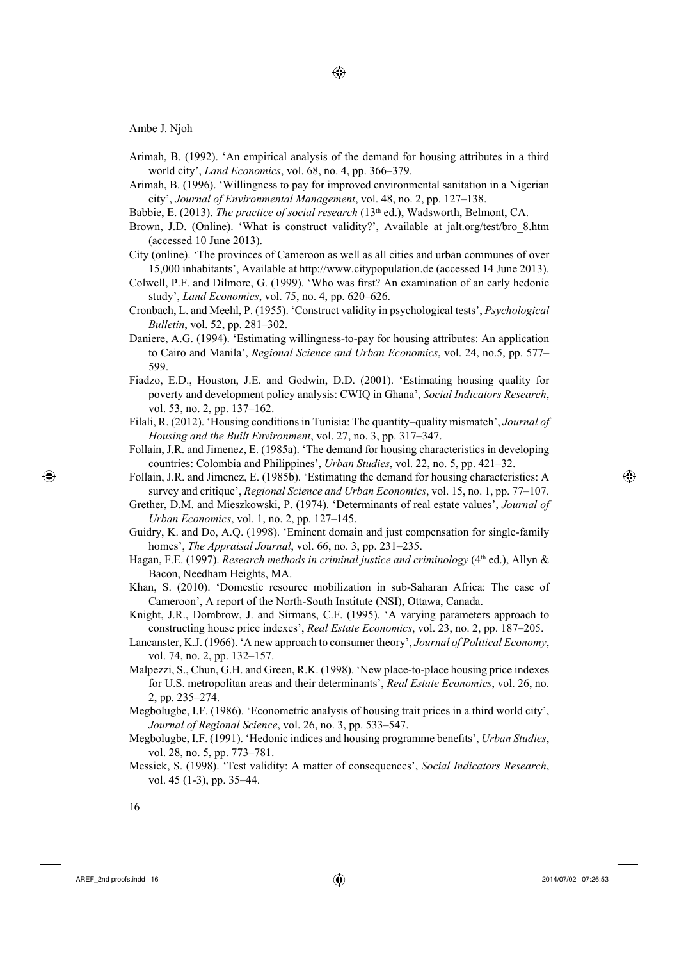Arimah, B. (1992). 'An empirical analysis of the demand for housing attributes in a third world city', *Land Economics*, vol. 68, no. 4, pp. 366–379.

◈

- Arimah, B. (1996). 'Willingness to pay for improved environmental sanitation in a Nigerian city', *Journal of Environmental Management*, vol. 48, no. 2, pp. 127–138.
- Babbie, E. (2013). *The practice of social research* (13th ed.), Wadsworth, Belmont, CA.
- Brown, J.D. (Online). 'What is construct validity?', Available at jalt.org/test/bro\_8.htm (accessed 10 June 2013).
- City (online). 'The provinces of Cameroon as well as all cities and urban communes of over 15,000 inhabitants', Available at http://www.citypopulation.de (accessed 14 June 2013).
- Colwell, P.F. and Dilmore, G. (1999). 'Who was first? An examination of an early hedonic study', *Land Economics*, vol. 75, no. 4, pp. 620–626.
- Cronbach, L. and Meehl, P. (1955). 'Construct validity in psychological tests', *Psychological Bulletin*, vol. 52, pp. 281–302.
- Daniere, A.G. (1994). 'Estimating willingness-to-pay for housing attributes: An application to Cairo and Manila', *Regional Science and Urban Economics*, vol. 24, no.5, pp. 577– 599.
- Fiadzo, E.D., Houston, J.E. and Godwin, D.D. (2001). 'Estimating housing quality for poverty and development policy analysis: CWIQ in Ghana', *Social Indicators Research*, vol. 53, no. 2, pp. 137–162.
- Filali, R. (2012). 'Housing conditions in Tunisia: The quantity–quality mismatch', *Journal of Housing and the Built Environment*, vol. 27, no. 3, pp. 317–347.
- Follain, J.R. and Jimenez, E. (1985a). 'The demand for housing characteristics in developing countries: Colombia and Philippines', *Urban Studies*, vol. 22, no. 5, pp. 421–32.
- Follain, J.R. and Jimenez, E. (1985b). 'Estimating the demand for housing characteristics: A survey and critique', *Regional Science and Urban Economics*, vol. 15, no. 1, pp. 77–107.
- Grether, D.M. and Mieszkowski, P. (1974). 'Determinants of real estate values', *Journal of Urban Economics*, vol. 1, no. 2, pp. 127–145.
- Guidry, K. and Do, A.Q. (1998). 'Eminent domain and just compensation for single-family homes', *The Appraisal Journal*, vol. 66, no. 3, pp. 231–235.
- Hagan, F.E. (1997). *Research methods in criminal justice and criminology* (4<sup>th</sup> ed.), Allyn & Bacon, Needham Heights, MA.
- Khan, S. (2010). 'Domestic resource mobilization in sub-Saharan Africa: The case of Cameroon', A report of the North-South Institute (NSI), Ottawa, Canada.
- Knight, J.R., Dombrow, J. and Sirmans, C.F. (1995). 'A varying parameters approach to constructing house price indexes', *Real Estate Economics*, vol. 23, no. 2, pp. 187–205.
- Lancanster, K.J. (1966). 'A new approach to consumer theory', *Journal of Political Economy*, vol. 74, no. 2, pp. 132–157.
- Malpezzi, S., Chun, G.H. and Green, R.K. (1998). 'New place-to-place housing price indexes for U.S. metropolitan areas and their determinants', *Real Estate Economics*, vol. 26, no. 2, pp. 235–274.
- Megbolugbe, I.F. (1986). 'Econometric analysis of housing trait prices in a third world city', *Journal of Regional Science*, vol. 26, no. 3, pp. 533–547.
- Megbolugbe, I.F. (1991). 'Hedonic indices and housing programme benefits', *Urban Studies*, vol. 28, no. 5, pp. 773–781.
- Messick, S. (1998). 'Test validity: A matter of consequences', *Social Indicators Research*, vol. 45 (1-3), pp. 35–44.

⊕